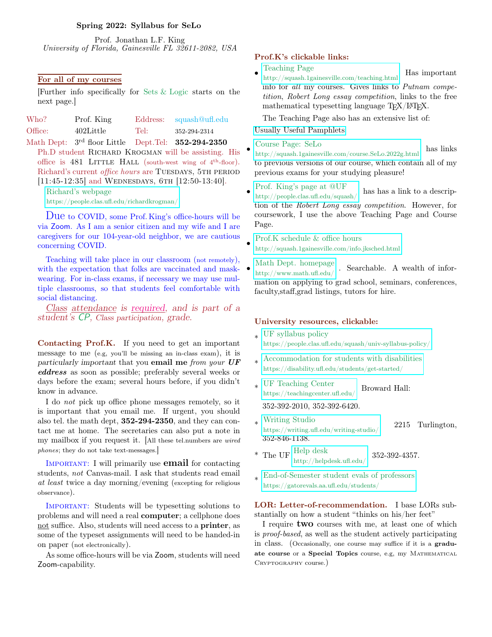### Spring 2022: Syllabus for SeLo

Prof. Jonathan L.F. King University of Florida, Gainesville FL 32611-2082, USA

# For all of my courses

[Further info specifically for Sets & Logic starts on the next page.]

| Who?    | Prof. King   |      | Eddress: squash@uff.edu |
|---------|--------------|------|-------------------------|
| Office: | $402$ Little | Tel: | 352-294-2314            |

Math Dept: 3<sup>rd</sup> floor Little Dept.Tel: **352-294-2350** Ph.D student RICHARD KROGMAN will be assisting. His office is  $481$  LITTLE HALL (south-west wing of  $4<sup>th</sup>$ -floor). Richard's current *office hours* are TUESDAYS, 5TH PERIOD

 $[11:45-12:35]$  and WEDNESDAYS, 6TH  $[12:50-13:40]$ .

Richard's webpage

<https://people.clas.ufl.edu/richardkrogman/>

Due to COVID, some Prof. King's office-hours will be via Zoom. As I am a senior citizen and my wife and I are caregivers for our 104-year-old neighbor, we are cautious concerning COVID.

Teaching will take place in our classroom (not remotely), with the expectation that folks are vaccinated and maskwearing. For in-class exams, if necessary we may use multiple classrooms, so that students feel comfortable with social distancing.

Class attendance is required, and is part of a student's CP, Class participation, grade.

Contacting Prof.K. If you need to get an important message to me (e.g, you'll be missing an in-class exam), it is particularly important that you email me from your UF eddress as soon as possible; preferably several weeks or days before the exam; several hours before, if you didn't know in advance.

I do not pick up office phone messages remotely, so it is important that you email me. If urgent, you should also tel. the math dept, 352-294-2350, and they can contact me at home. The secretaries can also put a note in my mailbox if you request it. [All these tel.numbers are *wired* phones; they do not take text-messages.]

IMPORTANT: I will primarily use **email** for contacting students, not Canvas-mail. I ask that students read email at least twice a day morning/evening (excepting for religious observance).

Important: Students will be typesetting solutions to problems and will need a real computer; a cellphone does not suffice. Also, students will need access to a printer, as some of the typeset assignments will need to be handed-in on paper (not electronically).

As some office-hours will be via Zoom, students will need Zoom-capability.

### Prof.K's clickable links:

- Teaching Page
- <http://squash.1gainesville.com/teaching.html> Has important info for all my courses. Gives links to Putnam competition, Robert Long essay competition, links to the free mathematical typesetting language  $T_{F}X/IF_{F}X$ .

The Teaching Page also has an extensive list of:

[Usually Useful Pamphlets.](http://squash.1gainesville.com/teaching.html#pamphlets)

#### Course Page: SeLo

•

•

<http://squash.1gainesville.com/course.SeLo.2022g.html> has links to previous versions of our course, which contain all of my previous exams for your studying pleasure!

• [Prof. King's page at @UF](http://people.clas.ufl.edu/squash/) http://people.clas.ufl.edu/squash/ has has a link to a description of the Robert Long essay competition. However, for coursework, I use the above Teaching Page and Course Page.

Prof.K schedule & office hours

- <http://squash.1gainesville.com/info.jksched.html>
- [Math Dept. homepage](http://www.math.ufl.edu/)  $\frac{1}{\text{Matn Dep.}}$  . Searchable. A wealth of information on applying to grad school, seminars, conferences, faculty,staff,grad listings, tutors for hire.

# University resources, clickable:

- \* UF syllabus policy <https://people.clas.ufl.edu/squash/univ-syllabus-policy/>
- \* [Accommodation for students with disabilities](https://disability.ufl.edu/students/get-started/) https://disability.ufl.edu/students/get-started/
- \* UF Teaching Center <https://teachingcenter.ufl.edu/> Broward Hall: 352-392-2010, 352-392-6420.
- \* Writing Studio <https://writing.ufl.edu/writing-studio/> 2215 Turlington, 352-846-1138.
- \* The UF  $\frac{\text{Help desk}}{\text{http://help desk.ufl.edu/}}$  352-392-4357.
- \* [End-of-Semester student evals of professors](https://gatorevals.aa.ufl.edu/students/) https://gatorevals.aa.ufl.edu/students/

LOR: Letter-of-recommendation. I base LORs substantially on how a student "thinks on his/her feet"

I require **two** courses with me, at least one of which is proof-based, as well as the student actively participating in class. (Occasionally, one course may suffice if it is a graduate course or a Special Topics course, e.g, my MATHEMATICAL Cryptography course.)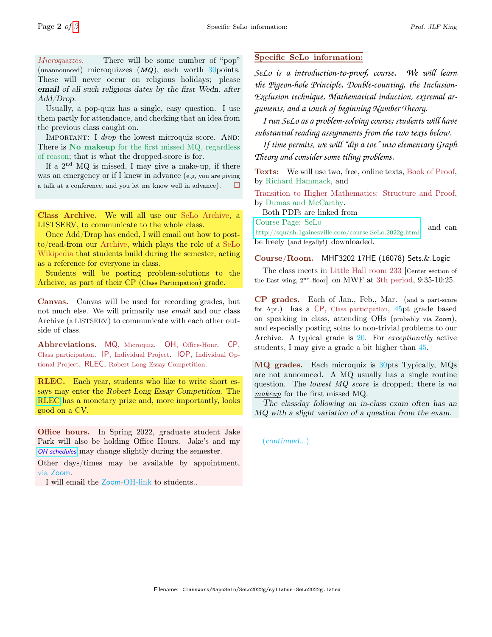Microquizzes. There will be some number of "pop" (unannounced) microquizzes  $(MQ)$ , each worth 30 points. These will never occur on religious holidays; please email of all such religious dates by the first Wedn. after Add/Drop.

Usually, a pop-quiz has a single, easy question. I use them partly for attendance, and checking that an idea from the previous class caught on.

IMPORTANT: I drop the lowest microquiz score. AND: There is No makeup for the first missed MQ, regardless of reason; that is what the dropped-score is for.

If a  $2<sup>nd</sup>$  MQ is missed, I may give a make-up, if there was an emergency or if I knew in advance (e.g, you are giving a talk at a conference, and you let me know well in advance).  $\Box$ 

Class Archive. We will all use our SeLo Archive, a LISTSERV, to communicate to the whole class.

Once Add/Drop has ended, I will email out how to postto/read-from our Archive, which plays the role of a SeLo Wikipedia that students build during the semester, acting as a reference for everyone in class.

Students will be posting problem-solutions to the Arhcive, as part of their CP (Class Participation) grade.

Canvas. Canvas will be used for recording grades, but not much else. We will primarily use email and our class Archive (a LISTSERV) to communicate with each other outside of class.

Abbreviations. MQ, Microquiz. OH, Office-Hour. CP, Class participation. IP, Individual Project. IOP, Individual Optional Project. RLEC, Robert Long Essay Competition.

RLEC. Each year, students who like to write short essays may enter the Robert Long Essay Competition. The [RLEC](https://people.clas.ufl.edu/squash/robert-long-prize/) has a monetary prize and, more importantly, looks good on a CV.

Office hours. In Spring 2022, graduate student Jake Park will also be holding Office Hours. Jake's and my [OH schedules](http://squash.1gainesville.com/info.jksched.html) may change slightly during the semester.

Other days/times may be available by appointment, via Zoom.

I will email the Zoom-OH-link to students..

## Specific SeLo information:

*SeLo is a introduction-to-proof, course. We will learn the Pigeon-hole Principle, Double-counting, the Inclusion-Exclusion technique, Mathematical induction, extremal arguments, and a touch of beginning Number Theory.*

*I run SeLo as a problem-solving course; students will have substantial reading assignments from the two texts below.*

*If time permits, we will "dip a toe" into elementary Graph Theory and consider some tiling problems.*

Texts: We will use two, free, online texts, Book of Proof, by Richard Hammack, and

Transition to Higher Mathematics: Structure and Proof, by Dumas and McCarthy.

Both PDFs are linked from

Course Page: SeLo

<http://squash.1gainesville.com/course.SeLo.2022g.html> and can be freely (and legally!) downloaded.

Course/Room. MHF3202 17HE (16078) Sets.&.Logic

The class meets in Little Hall room 233 [Center section of the East wing, 2nd-floor] on MWF at 3th period, 9:35-10:25.

CP grades. Each of Jan., Feb., Mar. (and a part-score for Apr.) has a CP, Class participation, 45pt grade based on speaking in class, attending OHs (probably via Zoom), and especially posting solns to non-trivial problems to our Archive. A typical grade is 20. For exceptionally active students, I may give a grade a bit higher than 45.

MQ grades. Each microquiz is 30pts Typically, MQs are not announced. A MQ usually has a single routine question. The lowest  $MQ$  score is dropped; there is no makeup for the first missed MQ.

The classday following an in-class exam often has an MQ with a slight variation of a question from the exam.

(continued...)